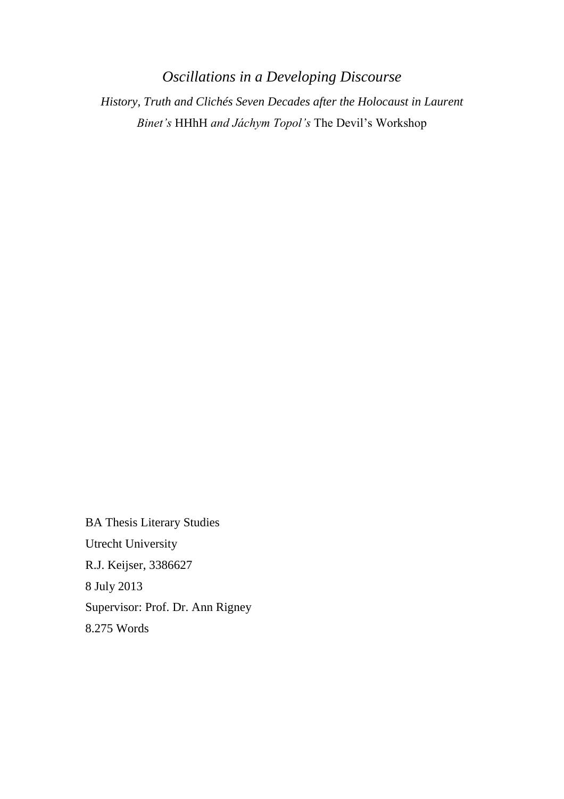*Oscillations in a Developing Discourse History, Truth and Clichés Seven Decades after the Holocaust in Laurent Binet's* HHhH *and Jáchym Topol's* The Devil's Workshop

BA Thesis Literary Studies Utrecht University R.J. Keijser, 3386627 8 July 2013 Supervisor: Prof. Dr. Ann Rigney 8.275 Words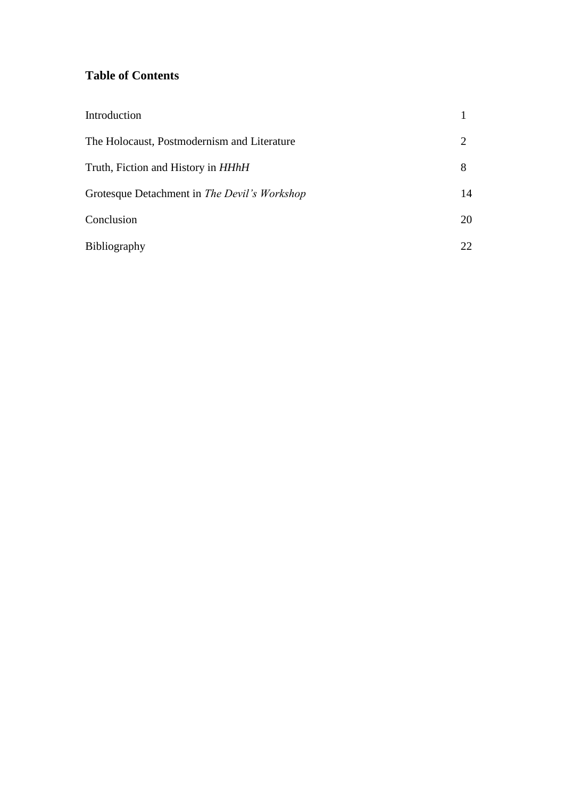# **Table of Contents**

| Introduction                                 |    |
|----------------------------------------------|----|
| The Holocaust, Postmodernism and Literature  |    |
| Truth, Fiction and History in <i>HHhH</i>    | 8  |
| Grotesque Detachment in The Devil's Workshop | 14 |
| Conclusion                                   | 20 |
| <b>Bibliography</b>                          | 22 |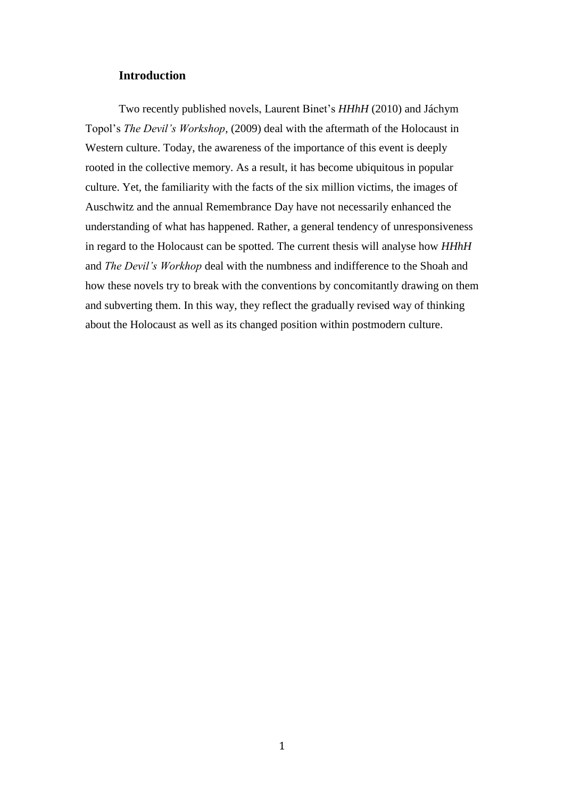## **Introduction**

Two recently published novels, Laurent Binet's *HHhH* (2010) and Jáchym Topol's *The Devil's Workshop,* (2009) deal with the aftermath of the Holocaust in Western culture. Today, the awareness of the importance of this event is deeply rooted in the collective memory. As a result, it has become ubiquitous in popular culture. Yet, the familiarity with the facts of the six million victims, the images of Auschwitz and the annual Remembrance Day have not necessarily enhanced the understanding of what has happened. Rather, a general tendency of unresponsiveness in regard to the Holocaust can be spotted. The current thesis will analyse how *HHhH* and *The Devil's Workhop* deal with the numbness and indifference to the Shoah and how these novels try to break with the conventions by concomitantly drawing on them and subverting them. In this way, they reflect the gradually revised way of thinking about the Holocaust as well as its changed position within postmodern culture.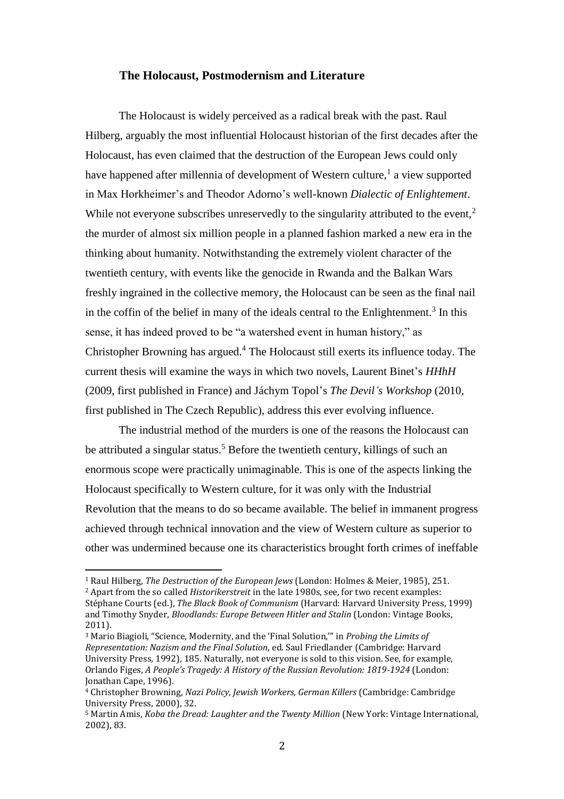### **The Holocaust, Postmodernism and Literature**

The Holocaust is widely perceived as a radical break with the past. Raul Hilberg, arguably the most influential Holocaust historian of the first decades after the Holocaust, has even claimed that the destruction of the European Jews could only have happened after millennia of development of Western culture,<sup>1</sup> a view supported in Max Horkheimer's and Theodor Adorno's well-known *Dialectic of Enlightement*. While not everyone subscribes unreservedly to the singularity attributed to the event,<sup>2</sup> the murder of almost six million people in a planned fashion marked a new era in the thinking about humanity. Notwithstanding the extremely violent character of the twentieth century, with events like the genocide in Rwanda and the Balkan Wars freshly ingrained in the collective memory, the Holocaust can be seen as the final nail in the coffin of the belief in many of the ideals central to the Enlightenment.<sup>3</sup> In this sense, it has indeed proved to be "a watershed event in human history," as Christopher Browning has argued. <sup>4</sup> The Holocaust still exerts its influence today. The current thesis will examine the ways in which two novels, Laurent Binet's *HHhH* (2009, first published in France) and Jáchym Topol's *The Devil's Workshop* (2010, first published in The Czech Republic), address this ever evolving influence.

The industrial method of the murders is one of the reasons the Holocaust can be attributed a singular status.<sup>5</sup> Before the twentieth century, killings of such an enormous scope were practically unimaginable. This is one of the aspects linking the Holocaust specifically to Western culture, for it was only with the Industrial Revolution that the means to do so became available. The belief in immanent progress achieved through technical innovation and the view of Western culture as superior to other was undermined because one its characteristics brought forth crimes of ineffable

<sup>1</sup> Raul Hilberg, *The Destruction of the European Jews* (London: Holmes & Meier, 1985), 251. <sup>2</sup> Apart from the so called *Historikerstreit* in the late 1980s, see, for two recent examples:

Stéphane Courts (ed.), *The Black Book of Communism* (Harvard: Harvard University Press, 1999) and Timothy Snyder, *Bloodlands: Europe Between Hitler and Stalin* (London: Vintage Books, 2011).

<sup>3</sup> Mario Biagioli, "Science, Modernity, and the 'Final Solution,'" in *Probing the Limits of Representation: Nazism and the Final Solution*, ed. Saul Friedlander (Cambridge: Harvard University Press, 1992), 185. Naturally, not everyone is sold to this vision. See, for example, Orlando Figes, *A People's Tragedy: A History of the Russian Revolution: 1819-1924* (London: Jonathan Cape, 1996).

<sup>4</sup> Christopher Browning, *Nazi Policy, Jewish Workers, German Killers* (Cambridge: Cambridge University Press, 2000), 32.

<sup>5</sup> Martin Amis, *Koba the Dread: Laughter and the Twenty Million* (New York: Vintage International, 2002), 83.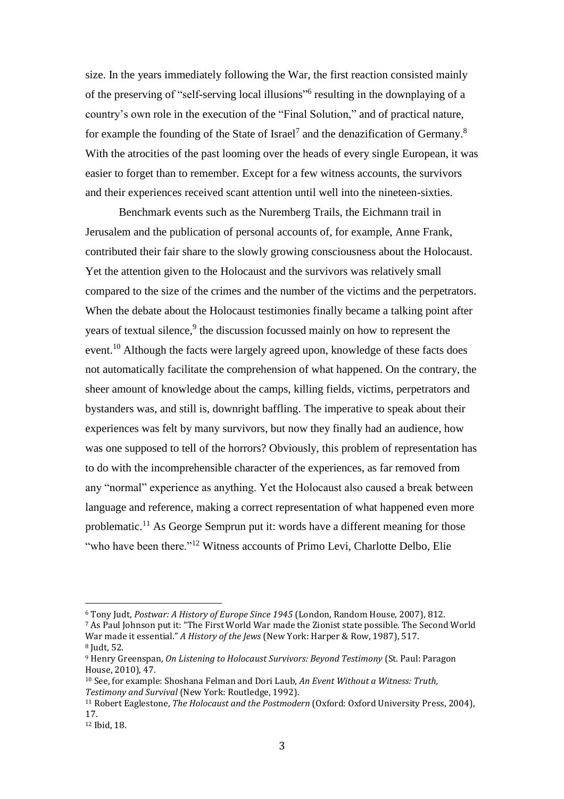size. In the years immediately following the War, the first reaction consisted mainly of the preserving of "self-serving local illusions"<sup>6</sup> resulting in the downplaying of a country's own role in the execution of the "Final Solution," and of practical nature, for example the founding of the State of Israel<sup>7</sup> and the denazification of Germany.<sup>8</sup> With the atrocities of the past looming over the heads of every single European, it was easier to forget than to remember. Except for a few witness accounts, the survivors and their experiences received scant attention until well into the nineteen-sixties.

Benchmark events such as the Nuremberg Trails, the Eichmann trail in Jerusalem and the publication of personal accounts of, for example, Anne Frank, contributed their fair share to the slowly growing consciousness about the Holocaust. Yet the attention given to the Holocaust and the survivors was relatively small compared to the size of the crimes and the number of the victims and the perpetrators. When the debate about the Holocaust testimonies finally became a talking point after years of textual silence,<sup>9</sup> the discussion focussed mainly on how to represent the event.<sup>10</sup> Although the facts were largely agreed upon, knowledge of these facts does not automatically facilitate the comprehension of what happened. On the contrary, the sheer amount of knowledge about the camps, killing fields, victims, perpetrators and bystanders was, and still is, downright baffling. The imperative to speak about their experiences was felt by many survivors, but now they finally had an audience, how was one supposed to tell of the horrors? Obviously, this problem of representation has to do with the incomprehensible character of the experiences, as far removed from any "normal" experience as anything. Yet the Holocaust also caused a break between language and reference, making a correct representation of what happened even more problematic.<sup>11</sup> As George Semprun put it: words have a different meaning for those "who have been there."<sup>12</sup> Witness accounts of Primo Levi, Charlotte Delbo, Elie

<sup>6</sup> Tony Judt, *Postwar: A History of Europe Since 1945* (London, Random House, 2007), 812.

<sup>7</sup> As Paul Johnson put it: "The First World War made the Zionist state possible. The Second World War made it essential." *A History of the Jews* (New York: Harper & Row, 1987), 517. <sup>8</sup> Judt, 52.

<sup>9</sup> Henry Greenspan, *On Listening to Holocaust Survivors: Beyond Testimony* (St. Paul: Paragon House, 2010), 47.

<sup>10</sup> See, for example: Shoshana Felman and Dori Laub, *An Event Without a Witness: Truth, Testimony and Survival* (New York: Routledge, 1992).

<sup>11</sup> Robert Eaglestone, *The Holocaust and the Postmodern* (Oxford: Oxford University Press, 2004), 17.

<sup>12</sup> Ibid, 18.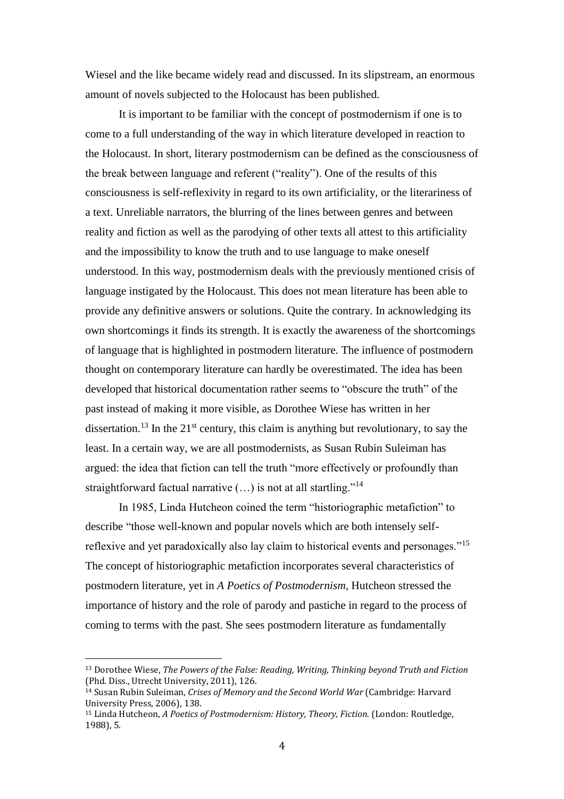Wiesel and the like became widely read and discussed. In its slipstream, an enormous amount of novels subjected to the Holocaust has been published.

It is important to be familiar with the concept of postmodernism if one is to come to a full understanding of the way in which literature developed in reaction to the Holocaust. In short, literary postmodernism can be defined as the consciousness of the break between language and referent ("reality"). One of the results of this consciousness is self-reflexivity in regard to its own artificiality, or the literariness of a text. Unreliable narrators, the blurring of the lines between genres and between reality and fiction as well as the parodying of other texts all attest to this artificiality and the impossibility to know the truth and to use language to make oneself understood. In this way, postmodernism deals with the previously mentioned crisis of language instigated by the Holocaust. This does not mean literature has been able to provide any definitive answers or solutions. Quite the contrary. In acknowledging its own shortcomings it finds its strength. It is exactly the awareness of the shortcomings of language that is highlighted in postmodern literature. The influence of postmodern thought on contemporary literature can hardly be overestimated. The idea has been developed that historical documentation rather seems to "obscure the truth" of the past instead of making it more visible, as Dorothee Wiese has written in her dissertation.<sup>13</sup> In the 21<sup>st</sup> century, this claim is anything but revolutionary, to say the least. In a certain way, we are all postmodernists, as Susan Rubin Suleiman has argued: the idea that fiction can tell the truth "more effectively or profoundly than straightforward factual narrative (…) is not at all startling."<sup>14</sup>

In 1985, Linda Hutcheon coined the term "historiographic metafiction" to describe "those well-known and popular novels which are both intensely selfreflexive and yet paradoxically also lay claim to historical events and personages."<sup>15</sup> The concept of historiographic metafiction incorporates several characteristics of postmodern literature, yet in *A Poetics of Postmodernism*, Hutcheon stressed the importance of history and the role of parody and pastiche in regard to the process of coming to terms with the past. She sees postmodern literature as fundamentally

<sup>13</sup> Dorothee Wiese, *The Powers of the False: Reading, Writing, Thinking beyond Truth and Fiction* (Phd. Diss., Utrecht University, 2011), 126.

<sup>14</sup> Susan Rubin Suleiman, *Crises of Memory and the Second World War* (Cambridge: Harvard University Press, 2006), 138.

<sup>15</sup> Linda Hutcheon, *A Poetics of Postmodernism: History, Theory, Fiction.* (London: Routledge, 1988), 5.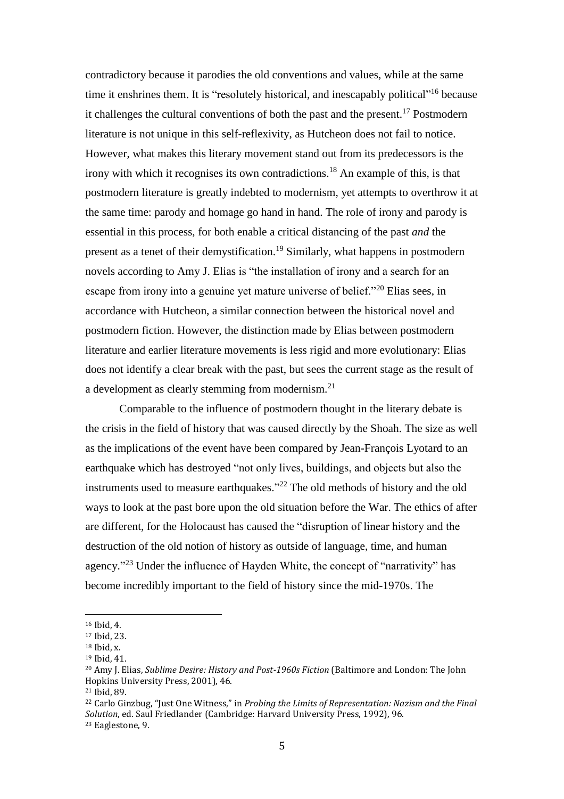contradictory because it parodies the old conventions and values, while at the same time it enshrines them. It is "resolutely historical, and inescapably political"<sup>16</sup> because it challenges the cultural conventions of both the past and the present.<sup>17</sup> Postmodern literature is not unique in this self-reflexivity, as Hutcheon does not fail to notice. However, what makes this literary movement stand out from its predecessors is the irony with which it recognises its own contradictions.<sup>18</sup> An example of this, is that postmodern literature is greatly indebted to modernism, yet attempts to overthrow it at the same time: parody and homage go hand in hand. The role of irony and parody is essential in this process, for both enable a critical distancing of the past *and* the present as a tenet of their demystification. <sup>19</sup> Similarly, what happens in postmodern novels according to Amy J. Elias is "the installation of irony and a search for an escape from irony into a genuine yet mature universe of belief."<sup>20</sup> Elias sees, in accordance with Hutcheon, a similar connection between the historical novel and postmodern fiction. However, the distinction made by Elias between postmodern literature and earlier literature movements is less rigid and more evolutionary: Elias does not identify a clear break with the past, but sees the current stage as the result of a development as clearly stemming from modernism.<sup>21</sup>

Comparable to the influence of postmodern thought in the literary debate is the crisis in the field of history that was caused directly by the Shoah. The size as well as the implications of the event have been compared by Jean-François Lyotard to an earthquake which has destroyed "not only lives, buildings, and objects but also the instruments used to measure earthquakes." <sup>22</sup> The old methods of history and the old ways to look at the past bore upon the old situation before the War. The ethics of after are different, for the Holocaust has caused the "disruption of linear history and the destruction of the old notion of history as outside of language, time, and human agency."<sup>23</sup> Under the influence of Hayden White, the concept of "narrativity" has become incredibly important to the field of history since the mid-1970s. The

 $\overline{a}$ 

<sup>22</sup> Carlo Ginzbug, "Just One Witness," in *Probing the Limits of Representation: Nazism and the Final Solution*, ed. Saul Friedlander (Cambridge: Harvard University Press, 1992), 96.

<sup>23</sup> Eaglestone, 9.

<sup>16</sup> Ibid, 4.

<sup>17</sup> Ibid, 23.

 $18$  Ibid, x.

<sup>19</sup> Ibid, 41.

<sup>20</sup> Amy J. Elias, *Sublime Desire: History and Post-1960s Fiction* (Baltimore and London: The John Hopkins University Press, 2001), 46.

<sup>21</sup> Ibid, 89.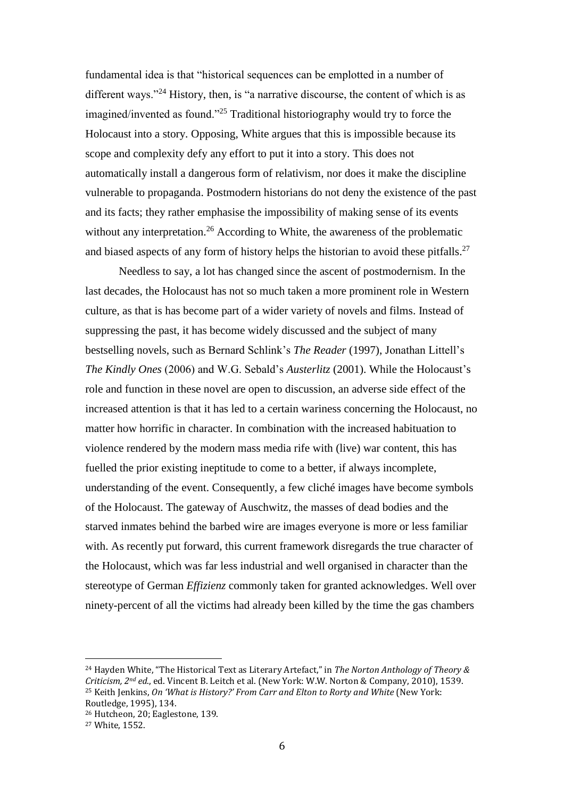fundamental idea is that "historical sequences can be emplotted in a number of different ways."<sup>24</sup> History, then, is "a narrative discourse, the content of which is as imagined/invented as found."<sup>25</sup> Traditional historiography would try to force the Holocaust into a story. Opposing, White argues that this is impossible because its scope and complexity defy any effort to put it into a story. This does not automatically install a dangerous form of relativism, nor does it make the discipline vulnerable to propaganda. Postmodern historians do not deny the existence of the past and its facts; they rather emphasise the impossibility of making sense of its events without any interpretation.<sup>26</sup> According to White, the awareness of the problematic and biased aspects of any form of history helps the historian to avoid these pitfalls.<sup>27</sup>

Needless to say, a lot has changed since the ascent of postmodernism. In the last decades, the Holocaust has not so much taken a more prominent role in Western culture, as that is has become part of a wider variety of novels and films. Instead of suppressing the past, it has become widely discussed and the subject of many bestselling novels, such as Bernard Schlink's *The Reader* (1997), Jonathan Littell's *The Kindly Ones* (2006) and W.G. Sebald's *Austerlitz* (2001). While the Holocaust's role and function in these novel are open to discussion, an adverse side effect of the increased attention is that it has led to a certain wariness concerning the Holocaust, no matter how horrific in character. In combination with the increased habituation to violence rendered by the modern mass media rife with (live) war content, this has fuelled the prior existing ineptitude to come to a better, if always incomplete, understanding of the event. Consequently, a few cliché images have become symbols of the Holocaust. The gateway of Auschwitz, the masses of dead bodies and the starved inmates behind the barbed wire are images everyone is more or less familiar with. As recently put forward, this current framework disregards the true character of the Holocaust, which was far less industrial and well organised in character than the stereotype of German *Effizienz* commonly taken for granted acknowledges. Well over ninety-percent of all the victims had already been killed by the time the gas chambers

<sup>24</sup> Hayden White, "The Historical Text as Literary Artefact," in *The Norton Anthology of Theory & Criticism, 2nd ed*., ed. Vincent B. Leitch et al. (New York: W.W. Norton & Company, 2010), 1539. <sup>25</sup> Keith Jenkins, *On 'What is History?' From Carr and Elton to Rorty and White* (New York: Routledge, 1995), 134.

<sup>26</sup> Hutcheon, 20; Eaglestone, 139.

<sup>27</sup> White, 1552.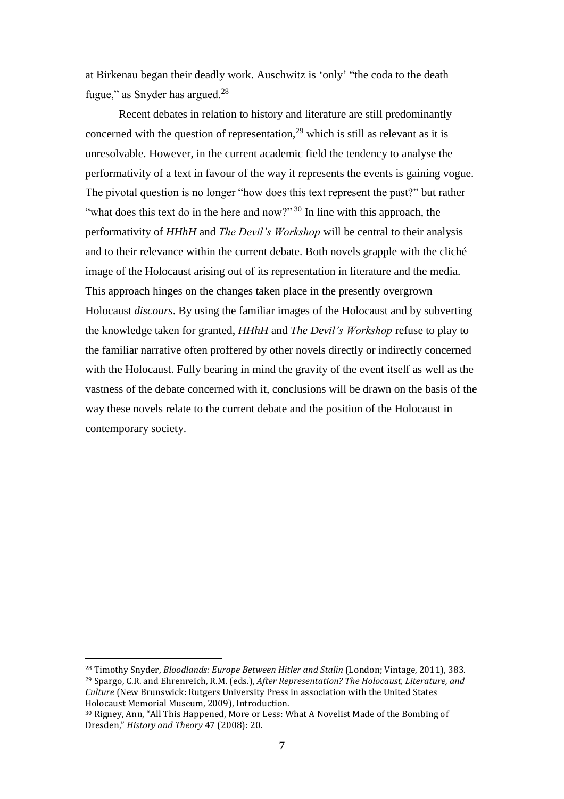at Birkenau began their deadly work. Auschwitz is 'only' "the coda to the death fugue," as Snyder has argued.<sup>28</sup>

Recent debates in relation to history and literature are still predominantly concerned with the question of representation,  $29$  which is still as relevant as it is unresolvable. However, in the current academic field the tendency to analyse the performativity of a text in favour of the way it represents the events is gaining vogue. The pivotal question is no longer "how does this text represent the past?" but rather "what does this text do in the here and now?"  $30$  In line with this approach, the performativity of *HHhH* and *The Devil's Workshop* will be central to their analysis and to their relevance within the current debate. Both novels grapple with the cliché image of the Holocaust arising out of its representation in literature and the media. This approach hinges on the changes taken place in the presently overgrown Holocaust *discours*. By using the familiar images of the Holocaust and by subverting the knowledge taken for granted, *HHhH* and *The Devil's Workshop* refuse to play to the familiar narrative often proffered by other novels directly or indirectly concerned with the Holocaust. Fully bearing in mind the gravity of the event itself as well as the vastness of the debate concerned with it, conclusions will be drawn on the basis of the way these novels relate to the current debate and the position of the Holocaust in contemporary society.

<sup>28</sup> Timothy Snyder, *Bloodlands: Europe Between Hitler and Stalin* (London; Vintage, 2011), 383. <sup>29</sup> Spargo, C.R. and Ehrenreich, R.M. (eds.), *After Representation? The Holocaust, Literature, and Culture* (New Brunswick: Rutgers University Press in association with the United States Holocaust Memorial Museum, 2009), Introduction.

<sup>30</sup> Rigney, Ann, "All This Happened, More or Less: What A Novelist Made of the Bombing of Dresden," *History and Theory* 47 (2008): 20.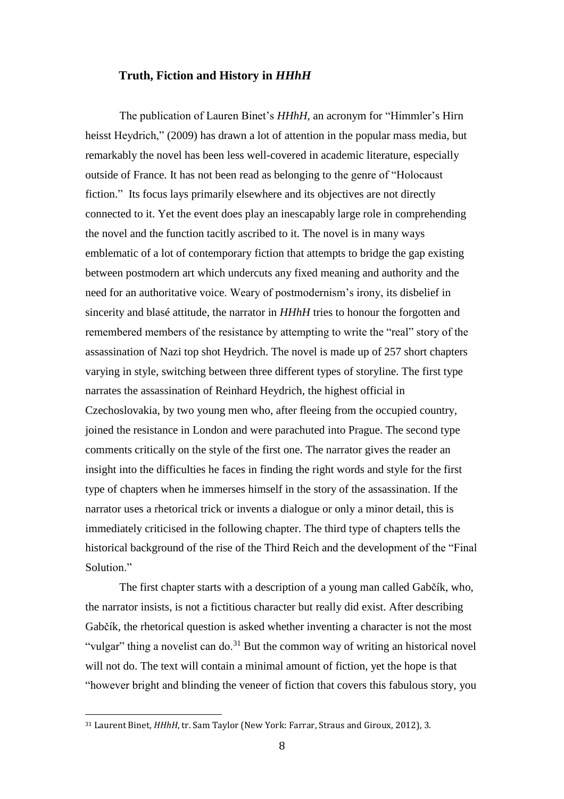### **Truth, Fiction and History in** *HHhH*

The publication of Lauren Binet's *HHhH*, an acronym for "Himmler's Hirn heisst Heydrich," (2009) has drawn a lot of attention in the popular mass media, but remarkably the novel has been less well-covered in academic literature, especially outside of France. It has not been read as belonging to the genre of "Holocaust fiction." Its focus lays primarily elsewhere and its objectives are not directly connected to it. Yet the event does play an inescapably large role in comprehending the novel and the function tacitly ascribed to it. The novel is in many ways emblematic of a lot of contemporary fiction that attempts to bridge the gap existing between postmodern art which undercuts any fixed meaning and authority and the need for an authoritative voice. Weary of postmodernism's irony, its disbelief in sincerity and blasé attitude, the narrator in *HHhH* tries to honour the forgotten and remembered members of the resistance by attempting to write the "real" story of the assassination of Nazi top shot Heydrich. The novel is made up of 257 short chapters varying in style, switching between three different types of storyline. The first type narrates the assassination of Reinhard Heydrich, the highest official in Czechoslovakia, by two young men who, after fleeing from the occupied country, joined the resistance in London and were parachuted into Prague. The second type comments critically on the style of the first one. The narrator gives the reader an insight into the difficulties he faces in finding the right words and style for the first type of chapters when he immerses himself in the story of the assassination. If the narrator uses a rhetorical trick or invents a dialogue or only a minor detail, this is immediately criticised in the following chapter. The third type of chapters tells the historical background of the rise of the Third Reich and the development of the "Final Solution<sup>"</sup>

The first chapter starts with a description of a young man called Gabčík, who, the narrator insists, is not a fictitious character but really did exist. After describing Gabčík, the rhetorical question is asked whether inventing a character is not the most "vulgar" thing a novelist can do.<sup>31</sup> But the common way of writing an historical novel will not do. The text will contain a minimal amount of fiction, yet the hope is that "however bright and blinding the veneer of fiction that covers this fabulous story, you

<sup>31</sup> Laurent Binet, *HHhH*, tr. Sam Taylor (New York: Farrar, Straus and Giroux, 2012), 3.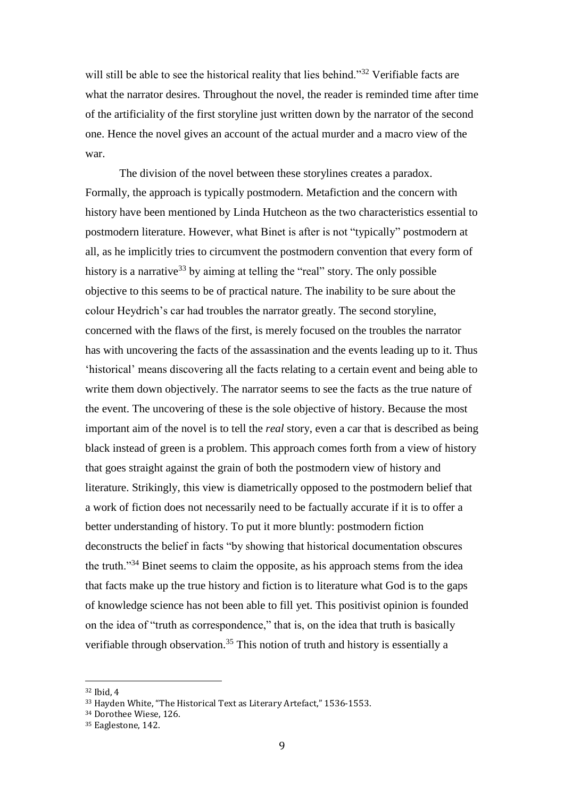will still be able to see the historical reality that lies behind."<sup>32</sup> Verifiable facts are what the narrator desires. Throughout the novel, the reader is reminded time after time of the artificiality of the first storyline just written down by the narrator of the second one. Hence the novel gives an account of the actual murder and a macro view of the war.

The division of the novel between these storylines creates a paradox. Formally, the approach is typically postmodern. Metafiction and the concern with history have been mentioned by Linda Hutcheon as the two characteristics essential to postmodern literature. However, what Binet is after is not "typically" postmodern at all, as he implicitly tries to circumvent the postmodern convention that every form of history is a narrative  $33$  by aiming at telling the "real" story. The only possible objective to this seems to be of practical nature. The inability to be sure about the colour Heydrich's car had troubles the narrator greatly. The second storyline, concerned with the flaws of the first, is merely focused on the troubles the narrator has with uncovering the facts of the assassination and the events leading up to it. Thus 'historical' means discovering all the facts relating to a certain event and being able to write them down objectively. The narrator seems to see the facts as the true nature of the event. The uncovering of these is the sole objective of history. Because the most important aim of the novel is to tell the *real* story, even a car that is described as being black instead of green is a problem. This approach comes forth from a view of history that goes straight against the grain of both the postmodern view of history and literature. Strikingly, this view is diametrically opposed to the postmodern belief that a work of fiction does not necessarily need to be factually accurate if it is to offer a better understanding of history. To put it more bluntly: postmodern fiction deconstructs the belief in facts "by showing that historical documentation obscures the truth."<sup>34</sup> Binet seems to claim the opposite, as his approach stems from the idea that facts make up the true history and fiction is to literature what God is to the gaps of knowledge science has not been able to fill yet. This positivist opinion is founded on the idea of "truth as correspondence," that is, on the idea that truth is basically verifiable through observation.<sup>35</sup> This notion of truth and history is essentially a

<sup>32</sup> Ibid, 4

<sup>33</sup> Hayden White, "The Historical Text as Literary Artefact," 1536-1553.

<sup>34</sup> Dorothee Wiese, 126.

<sup>&</sup>lt;sup>35</sup> Eaglestone, 142.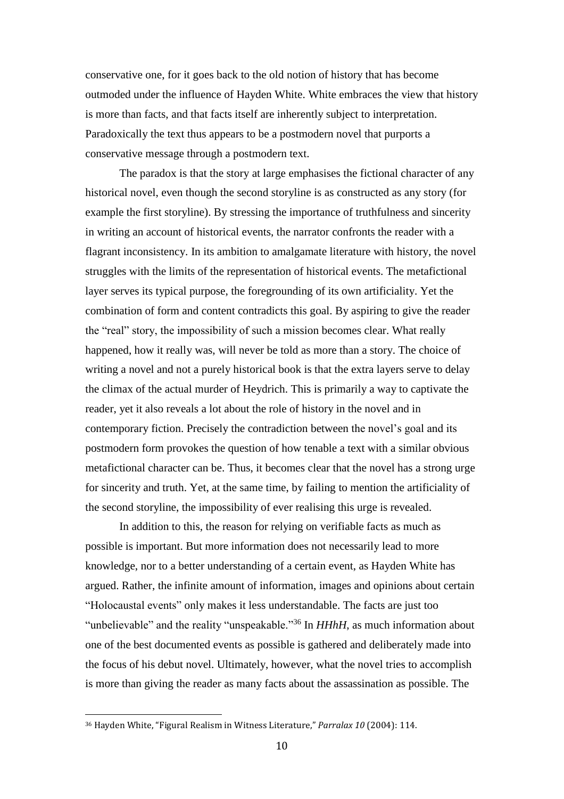conservative one, for it goes back to the old notion of history that has become outmoded under the influence of Hayden White. White embraces the view that history is more than facts, and that facts itself are inherently subject to interpretation. Paradoxically the text thus appears to be a postmodern novel that purports a conservative message through a postmodern text.

The paradox is that the story at large emphasises the fictional character of any historical novel, even though the second storyline is as constructed as any story (for example the first storyline). By stressing the importance of truthfulness and sincerity in writing an account of historical events, the narrator confronts the reader with a flagrant inconsistency. In its ambition to amalgamate literature with history, the novel struggles with the limits of the representation of historical events. The metafictional layer serves its typical purpose, the foregrounding of its own artificiality. Yet the combination of form and content contradicts this goal. By aspiring to give the reader the "real" story, the impossibility of such a mission becomes clear. What really happened, how it really was, will never be told as more than a story. The choice of writing a novel and not a purely historical book is that the extra layers serve to delay the climax of the actual murder of Heydrich. This is primarily a way to captivate the reader, yet it also reveals a lot about the role of history in the novel and in contemporary fiction. Precisely the contradiction between the novel's goal and its postmodern form provokes the question of how tenable a text with a similar obvious metafictional character can be. Thus, it becomes clear that the novel has a strong urge for sincerity and truth. Yet, at the same time, by failing to mention the artificiality of the second storyline, the impossibility of ever realising this urge is revealed.

In addition to this, the reason for relying on verifiable facts as much as possible is important. But more information does not necessarily lead to more knowledge, nor to a better understanding of a certain event, as Hayden White has argued. Rather, the infinite amount of information, images and opinions about certain "Holocaustal events" only makes it less understandable. The facts are just too "unbelievable" and the reality "unspeakable."<sup>36</sup> In *HHhH*, as much information about one of the best documented events as possible is gathered and deliberately made into the focus of his debut novel. Ultimately, however, what the novel tries to accomplish is more than giving the reader as many facts about the assassination as possible. The

<sup>36</sup> Hayden White, "Figural Realism in Witness Literature," *Parralax 10* (2004): 114.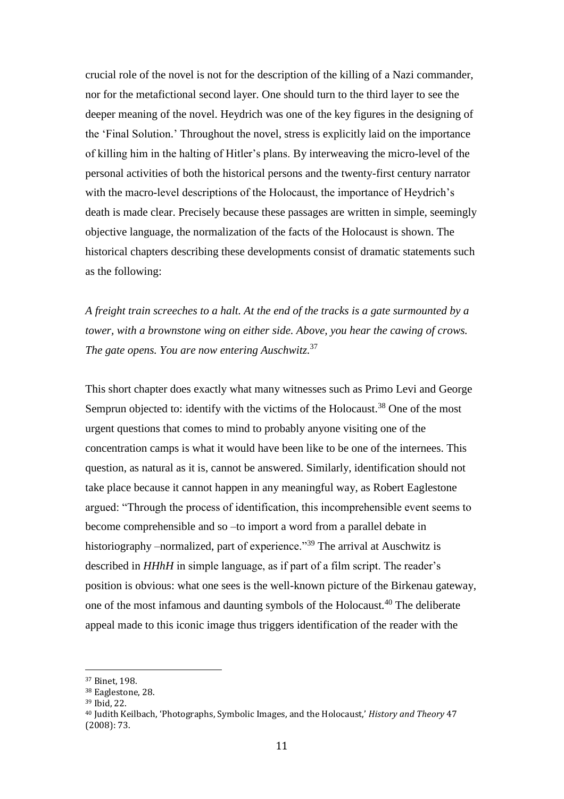crucial role of the novel is not for the description of the killing of a Nazi commander, nor for the metafictional second layer. One should turn to the third layer to see the deeper meaning of the novel. Heydrich was one of the key figures in the designing of the 'Final Solution.' Throughout the novel, stress is explicitly laid on the importance of killing him in the halting of Hitler's plans. By interweaving the micro-level of the personal activities of both the historical persons and the twenty-first century narrator with the macro-level descriptions of the Holocaust, the importance of Heydrich's death is made clear. Precisely because these passages are written in simple, seemingly objective language, the normalization of the facts of the Holocaust is shown. The historical chapters describing these developments consist of dramatic statements such as the following:

*A freight train screeches to a halt. At the end of the tracks is a gate surmounted by a tower, with a brownstone wing on either side. Above, you hear the cawing of crows. The gate opens. You are now entering Auschwitz.* 37

This short chapter does exactly what many witnesses such as Primo Levi and George Semprun objected to: identify with the victims of the Holocaust.<sup>38</sup> One of the most urgent questions that comes to mind to probably anyone visiting one of the concentration camps is what it would have been like to be one of the internees. This question, as natural as it is, cannot be answered. Similarly, identification should not take place because it cannot happen in any meaningful way, as Robert Eaglestone argued: "Through the process of identification, this incomprehensible event seems to become comprehensible and so –to import a word from a parallel debate in historiography –normalized, part of experience.<sup>39</sup> The arrival at Auschwitz is described in *HHhH* in simple language, as if part of a film script. The reader's position is obvious: what one sees is the well-known picture of the Birkenau gateway, one of the most infamous and daunting symbols of the Holocaust.<sup>40</sup> The deliberate appeal made to this iconic image thus triggers identification of the reader with the

<sup>37</sup> Binet, 198.

<sup>38</sup> Eaglestone, 28.

<sup>39</sup> Ibid, 22.

<sup>40</sup> Judith Keilbach, 'Photographs, Symbolic Images, and the Holocaust,' *History and Theory* 47 (2008): 73.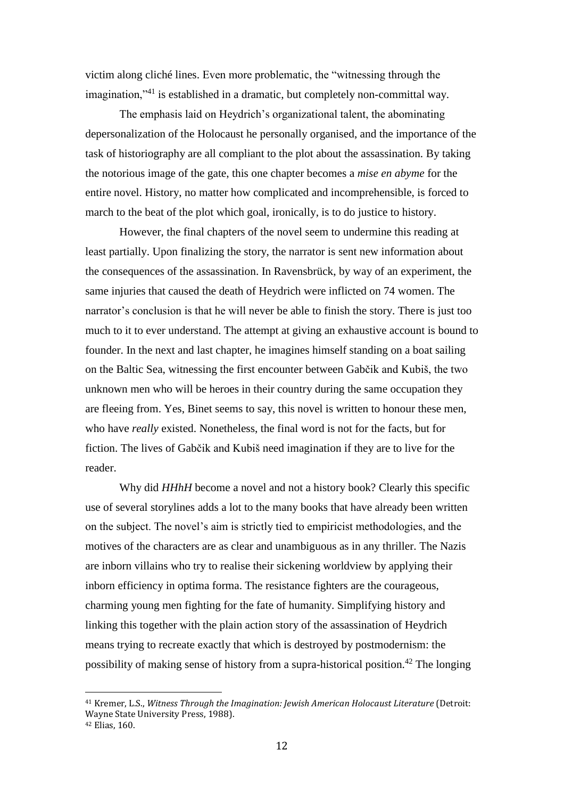victim along cliché lines. Even more problematic, the "witnessing through the imagination,"<sup>41</sup> is established in a dramatic, but completely non-committal way.

The emphasis laid on Heydrich's organizational talent, the abominating depersonalization of the Holocaust he personally organised, and the importance of the task of historiography are all compliant to the plot about the assassination. By taking the notorious image of the gate, this one chapter becomes a *mise en abyme* for the entire novel. History, no matter how complicated and incomprehensible, is forced to march to the beat of the plot which goal, ironically, is to do justice to history.

However, the final chapters of the novel seem to undermine this reading at least partially. Upon finalizing the story, the narrator is sent new information about the consequences of the assassination. In Ravensbrück, by way of an experiment, the same injuries that caused the death of Heydrich were inflicted on 74 women. The narrator's conclusion is that he will never be able to finish the story. There is just too much to it to ever understand. The attempt at giving an exhaustive account is bound to founder. In the next and last chapter, he imagines himself standing on a boat sailing on the Baltic Sea, witnessing the first encounter between Gabčik and Kubiš, the two unknown men who will be heroes in their country during the same occupation they are fleeing from. Yes, Binet seems to say, this novel is written to honour these men, who have *really* existed. Nonetheless, the final word is not for the facts, but for fiction. The lives of Gabčik and Kubiš need imagination if they are to live for the reader.

Why did *HHhH* become a novel and not a history book? Clearly this specific use of several storylines adds a lot to the many books that have already been written on the subject. The novel's aim is strictly tied to empiricist methodologies, and the motives of the characters are as clear and unambiguous as in any thriller. The Nazis are inborn villains who try to realise their sickening worldview by applying their inborn efficiency in optima forma. The resistance fighters are the courageous, charming young men fighting for the fate of humanity. Simplifying history and linking this together with the plain action story of the assassination of Heydrich means trying to recreate exactly that which is destroyed by postmodernism: the possibility of making sense of history from a supra-historical position.<sup>42</sup> The longing

<sup>41</sup> Kremer, L.S., *Witness Through the Imagination: Jewish American Holocaust Literature* (Detroit: Wayne State University Press, 1988).

<sup>42</sup> Elias, 160.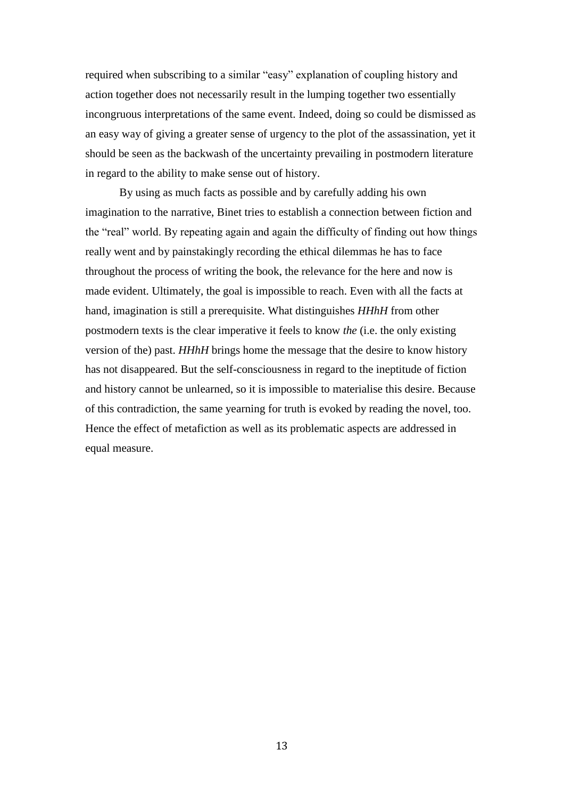required when subscribing to a similar "easy" explanation of coupling history and action together does not necessarily result in the lumping together two essentially incongruous interpretations of the same event. Indeed, doing so could be dismissed as an easy way of giving a greater sense of urgency to the plot of the assassination, yet it should be seen as the backwash of the uncertainty prevailing in postmodern literature in regard to the ability to make sense out of history.

By using as much facts as possible and by carefully adding his own imagination to the narrative, Binet tries to establish a connection between fiction and the "real" world. By repeating again and again the difficulty of finding out how things really went and by painstakingly recording the ethical dilemmas he has to face throughout the process of writing the book, the relevance for the here and now is made evident. Ultimately, the goal is impossible to reach. Even with all the facts at hand, imagination is still a prerequisite. What distinguishes *HHhH* from other postmodern texts is the clear imperative it feels to know *the* (i.e. the only existing version of the) past. *HHhH* brings home the message that the desire to know history has not disappeared. But the self-consciousness in regard to the ineptitude of fiction and history cannot be unlearned, so it is impossible to materialise this desire. Because of this contradiction, the same yearning for truth is evoked by reading the novel, too. Hence the effect of metafiction as well as its problematic aspects are addressed in equal measure.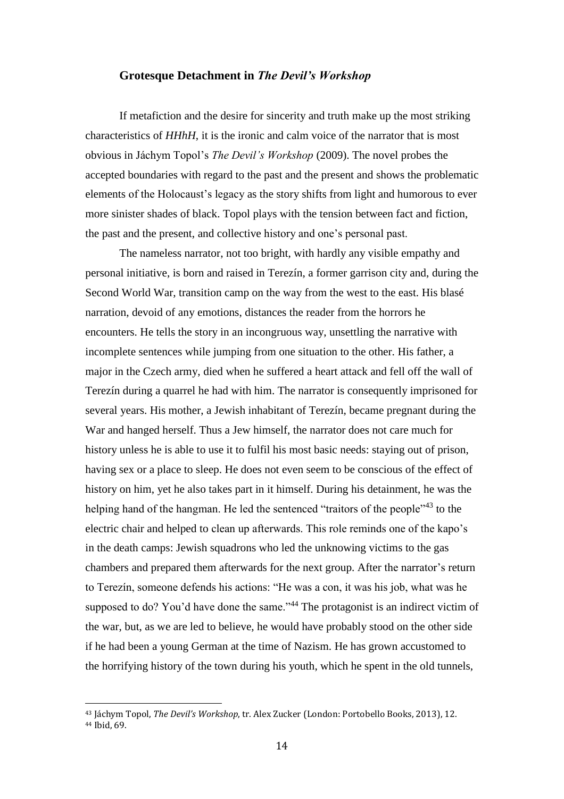## **Grotesque Detachment in** *The Devil's Workshop*

If metafiction and the desire for sincerity and truth make up the most striking characteristics of *HHhH*, it is the ironic and calm voice of the narrator that is most obvious in Jáchym Topol's *The Devil's Workshop* (2009). The novel probes the accepted boundaries with regard to the past and the present and shows the problematic elements of the Holocaust's legacy as the story shifts from light and humorous to ever more sinister shades of black. Topol plays with the tension between fact and fiction, the past and the present, and collective history and one's personal past.

The nameless narrator, not too bright, with hardly any visible empathy and personal initiative, is born and raised in Terezín, a former garrison city and, during the Second World War, transition camp on the way from the west to the east. His blasé narration, devoid of any emotions, distances the reader from the horrors he encounters. He tells the story in an incongruous way, unsettling the narrative with incomplete sentences while jumping from one situation to the other. His father, a major in the Czech army, died when he suffered a heart attack and fell off the wall of Terezín during a quarrel he had with him. The narrator is consequently imprisoned for several years. His mother, a Jewish inhabitant of Terezín, became pregnant during the War and hanged herself. Thus a Jew himself, the narrator does not care much for history unless he is able to use it to fulfil his most basic needs: staying out of prison, having sex or a place to sleep. He does not even seem to be conscious of the effect of history on him, yet he also takes part in it himself. During his detainment, he was the helping hand of the hangman. He led the sentenced "traitors of the people"<sup>43</sup> to the electric chair and helped to clean up afterwards. This role reminds one of the kapo's in the death camps: Jewish squadrons who led the unknowing victims to the gas chambers and prepared them afterwards for the next group. After the narrator's return to Terezín, someone defends his actions: "He was a con, it was his job, what was he supposed to do? You'd have done the same."<sup>44</sup> The protagonist is an indirect victim of the war, but, as we are led to believe, he would have probably stood on the other side if he had been a young German at the time of Nazism. He has grown accustomed to the horrifying history of the town during his youth, which he spent in the old tunnels,

<sup>43</sup> Jáchym Topol, *The Devil's Workshop*, tr. Alex Zucker (London: Portobello Books, 2013), 12. <sup>44</sup> Ibid, 69.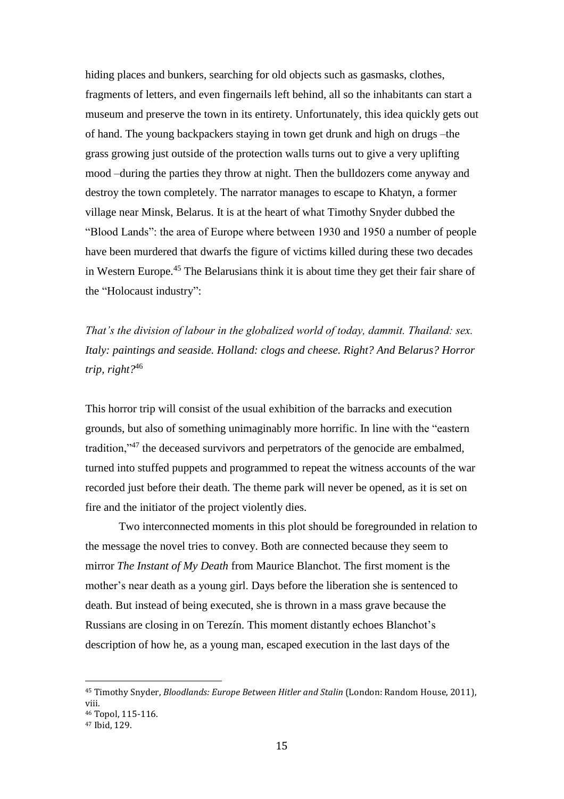hiding places and bunkers, searching for old objects such as gasmasks, clothes, fragments of letters, and even fingernails left behind, all so the inhabitants can start a museum and preserve the town in its entirety. Unfortunately, this idea quickly gets out of hand. The young backpackers staying in town get drunk and high on drugs –the grass growing just outside of the protection walls turns out to give a very uplifting mood –during the parties they throw at night. Then the bulldozers come anyway and destroy the town completely. The narrator manages to escape to Khatyn, a former village near Minsk, Belarus. It is at the heart of what Timothy Snyder dubbed the "Blood Lands": the area of Europe where between 1930 and 1950 a number of people have been murdered that dwarfs the figure of victims killed during these two decades in Western Europe.<sup>45</sup> The Belarusians think it is about time they get their fair share of the "Holocaust industry":

*That's the division of labour in the globalized world of today, dammit. Thailand: sex. Italy: paintings and seaside. Holland: clogs and cheese. Right? And Belarus? Horror trip, right?*<sup>46</sup>

This horror trip will consist of the usual exhibition of the barracks and execution grounds, but also of something unimaginably more horrific. In line with the "eastern tradition,"<sup>47</sup> the deceased survivors and perpetrators of the genocide are embalmed, turned into stuffed puppets and programmed to repeat the witness accounts of the war recorded just before their death. The theme park will never be opened, as it is set on fire and the initiator of the project violently dies.

Two interconnected moments in this plot should be foregrounded in relation to the message the novel tries to convey. Both are connected because they seem to mirror *The Instant of My Death* from Maurice Blanchot. The first moment is the mother's near death as a young girl. Days before the liberation she is sentenced to death. But instead of being executed, she is thrown in a mass grave because the Russians are closing in on Terezín. This moment distantly echoes Blanchot's description of how he, as a young man, escaped execution in the last days of the

<sup>45</sup> Timothy Snyder, *Bloodlands: Europe Between Hitler and Stalin* (London: Random House, 2011), viii.

<sup>46</sup> Topol, 115-116.

<sup>47</sup> Ibid, 129.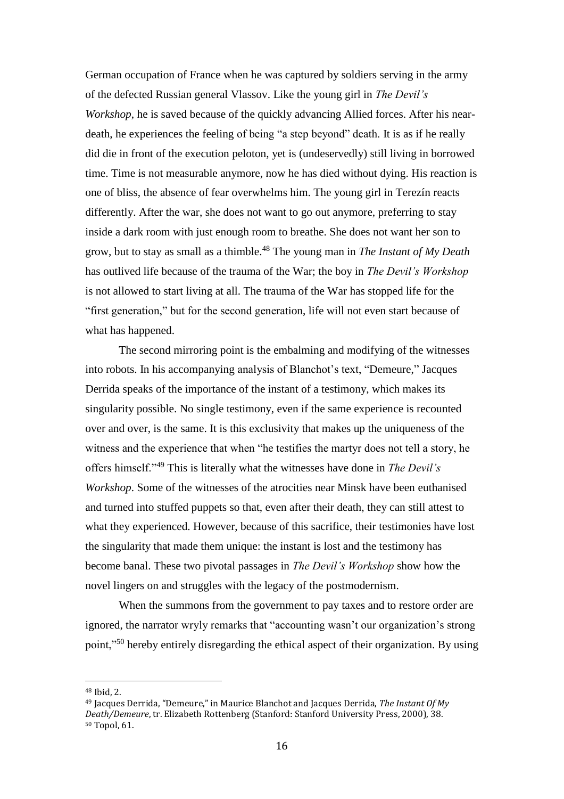German occupation of France when he was captured by soldiers serving in the army of the defected Russian general Vlassov. Like the young girl in *The Devil's Workshop*, he is saved because of the quickly advancing Allied forces. After his neardeath, he experiences the feeling of being "a step beyond" death. It is as if he really did die in front of the execution peloton, yet is (undeservedly) still living in borrowed time. Time is not measurable anymore, now he has died without dying. His reaction is one of bliss, the absence of fear overwhelms him. The young girl in Terezín reacts differently. After the war, she does not want to go out anymore, preferring to stay inside a dark room with just enough room to breathe. She does not want her son to grow, but to stay as small as a thimble.<sup>48</sup> The young man in *The Instant of My Death* has outlived life because of the trauma of the War; the boy in *The Devil's Workshop* is not allowed to start living at all. The trauma of the War has stopped life for the "first generation," but for the second generation, life will not even start because of what has happened.

The second mirroring point is the embalming and modifying of the witnesses into robots. In his accompanying analysis of Blanchot's text, "Demeure," Jacques Derrida speaks of the importance of the instant of a testimony, which makes its singularity possible. No single testimony, even if the same experience is recounted over and over, is the same. It is this exclusivity that makes up the uniqueness of the witness and the experience that when "he testifies the martyr does not tell a story, he offers himself."<sup>49</sup> This is literally what the witnesses have done in *The Devil's Workshop*. Some of the witnesses of the atrocities near Minsk have been euthanised and turned into stuffed puppets so that, even after their death, they can still attest to what they experienced. However, because of this sacrifice, their testimonies have lost the singularity that made them unique: the instant is lost and the testimony has become banal. These two pivotal passages in *The Devil's Workshop* show how the novel lingers on and struggles with the legacy of the postmodernism.

When the summons from the government to pay taxes and to restore order are ignored, the narrator wryly remarks that "accounting wasn't our organization's strong point,"<sup>50</sup> hereby entirely disregarding the ethical aspect of their organization. By using

<sup>48</sup> Ibid, 2.

<sup>49</sup> Jacques Derrida, "Demeure," in Maurice Blanchot and Jacques Derrida, *The Instant Of My Death/Demeure*, tr. Elizabeth Rottenberg (Stanford: Stanford University Press, 2000), 38. <sup>50</sup> Topol, 61.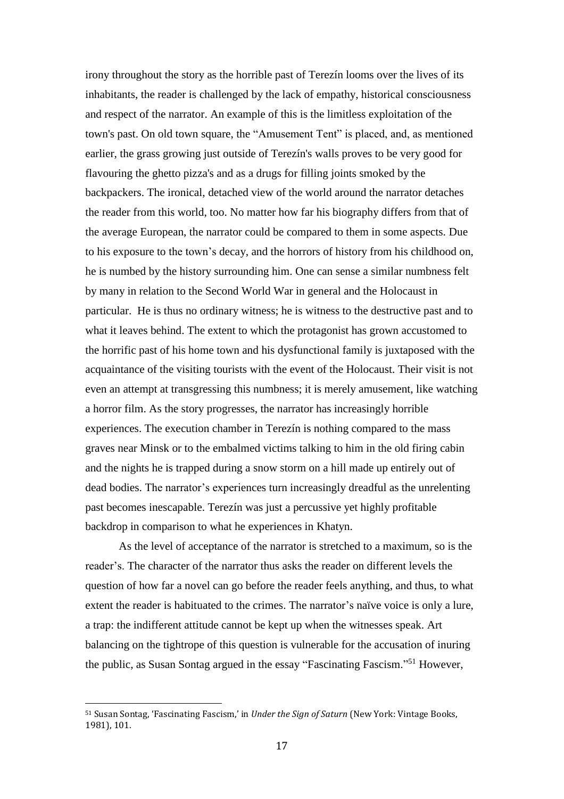irony throughout the story as the horrible past of Terezín looms over the lives of its inhabitants, the reader is challenged by the lack of empathy, historical consciousness and respect of the narrator. An example of this is the limitless exploitation of the town's past. On old town square, the "Amusement Tent" is placed, and, as mentioned earlier, the grass growing just outside of Terezín's walls proves to be very good for flavouring the ghetto pizza's and as a drugs for filling joints smoked by the backpackers. The ironical, detached view of the world around the narrator detaches the reader from this world, too. No matter how far his biography differs from that of the average European, the narrator could be compared to them in some aspects. Due to his exposure to the town's decay, and the horrors of history from his childhood on, he is numbed by the history surrounding him. One can sense a similar numbness felt by many in relation to the Second World War in general and the Holocaust in particular. He is thus no ordinary witness; he is witness to the destructive past and to what it leaves behind. The extent to which the protagonist has grown accustomed to the horrific past of his home town and his dysfunctional family is juxtaposed with the acquaintance of the visiting tourists with the event of the Holocaust. Their visit is not even an attempt at transgressing this numbness; it is merely amusement, like watching a horror film. As the story progresses, the narrator has increasingly horrible experiences. The execution chamber in Terezín is nothing compared to the mass graves near Minsk or to the embalmed victims talking to him in the old firing cabin and the nights he is trapped during a snow storm on a hill made up entirely out of dead bodies. The narrator's experiences turn increasingly dreadful as the unrelenting past becomes inescapable. Terezín was just a percussive yet highly profitable backdrop in comparison to what he experiences in Khatyn.

As the level of acceptance of the narrator is stretched to a maximum, so is the reader's. The character of the narrator thus asks the reader on different levels the question of how far a novel can go before the reader feels anything, and thus, to what extent the reader is habituated to the crimes. The narrator's naïve voice is only a lure, a trap: the indifferent attitude cannot be kept up when the witnesses speak. Art balancing on the tightrope of this question is vulnerable for the accusation of inuring the public, as Susan Sontag argued in the essay "Fascinating Fascism." <sup>51</sup> However,

<sup>51</sup> Susan Sontag, 'Fascinating Fascism,' in *Under the Sign of Saturn* (New York: Vintage Books, 1981), 101.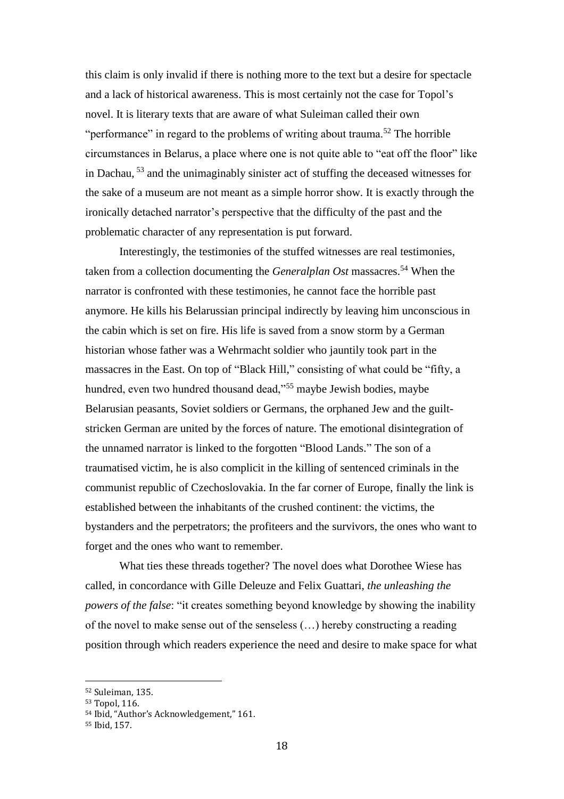this claim is only invalid if there is nothing more to the text but a desire for spectacle and a lack of historical awareness. This is most certainly not the case for Topol's novel. It is literary texts that are aware of what Suleiman called their own "performance" in regard to the problems of writing about trauma.<sup>52</sup> The horrible circumstances in Belarus, a place where one is not quite able to "eat off the floor" like in Dachau, <sup>53</sup> and the unimaginably sinister act of stuffing the deceased witnesses for the sake of a museum are not meant as a simple horror show. It is exactly through the ironically detached narrator's perspective that the difficulty of the past and the problematic character of any representation is put forward.

Interestingly, the testimonies of the stuffed witnesses are real testimonies, taken from a collection documenting the *Generalplan Ost* massacres.<sup>54</sup> When the narrator is confronted with these testimonies, he cannot face the horrible past anymore. He kills his Belarussian principal indirectly by leaving him unconscious in the cabin which is set on fire. His life is saved from a snow storm by a German historian whose father was a Wehrmacht soldier who jauntily took part in the massacres in the East. On top of "Black Hill," consisting of what could be "fifty, a hundred, even two hundred thousand dead,"<sup>55</sup> maybe Jewish bodies, maybe Belarusian peasants, Soviet soldiers or Germans, the orphaned Jew and the guiltstricken German are united by the forces of nature. The emotional disintegration of the unnamed narrator is linked to the forgotten "Blood Lands." The son of a traumatised victim, he is also complicit in the killing of sentenced criminals in the communist republic of Czechoslovakia. In the far corner of Europe, finally the link is established between the inhabitants of the crushed continent: the victims, the bystanders and the perpetrators; the profiteers and the survivors, the ones who want to forget and the ones who want to remember.

What ties these threads together? The novel does what Dorothee Wiese has called, in concordance with Gille Deleuze and Felix Guattari, *the unleashing the powers of the false*: "it creates something beyond knowledge by showing the inability of the novel to make sense out of the senseless (…) hereby constructing a reading position through which readers experience the need and desire to make space for what

<sup>52</sup> Suleiman, 135.

<sup>53</sup> Topol, 116.

<sup>54</sup> Ibid, "Author's Acknowledgement," 161.

<sup>55</sup> Ibid, 157.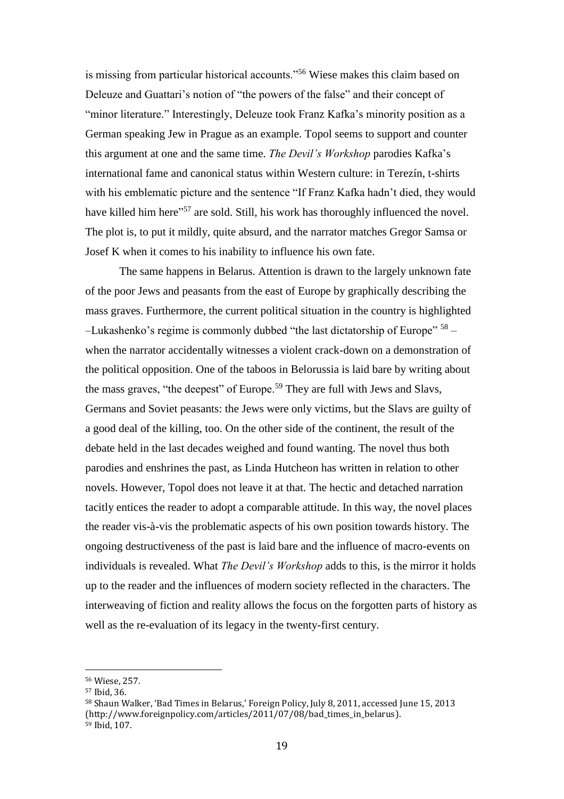is missing from particular historical accounts."<sup>56</sup> Wiese makes this claim based on Deleuze and Guattari's notion of "the powers of the false" and their concept of "minor literature." Interestingly, Deleuze took Franz Kafka's minority position as a German speaking Jew in Prague as an example. Topol seems to support and counter this argument at one and the same time. *The Devil's Workshop* parodies Kafka's international fame and canonical status within Western culture: in Terezín, t-shirts with his emblematic picture and the sentence "If Franz Kafka hadn't died, they would have killed him here"<sup>57</sup> are sold. Still, his work has thoroughly influenced the novel. The plot is, to put it mildly, quite absurd, and the narrator matches Gregor Samsa or Josef K when it comes to his inability to influence his own fate.

The same happens in Belarus. Attention is drawn to the largely unknown fate of the poor Jews and peasants from the east of Europe by graphically describing the mass graves. Furthermore, the current political situation in the country is highlighted -Lukashenko's regime is commonly dubbed "the last dictatorship of Europe" <sup>58</sup> when the narrator accidentally witnesses a violent crack-down on a demonstration of the political opposition. One of the taboos in Belorussia is laid bare by writing about the mass graves, "the deepest" of Europe.<sup>59</sup> They are full with Jews and Slavs, Germans and Soviet peasants: the Jews were only victims, but the Slavs are guilty of a good deal of the killing, too. On the other side of the continent, the result of the debate held in the last decades weighed and found wanting. The novel thus both parodies and enshrines the past, as Linda Hutcheon has written in relation to other novels. However, Topol does not leave it at that. The hectic and detached narration tacitly entices the reader to adopt a comparable attitude. In this way, the novel places the reader vis-à-vis the problematic aspects of his own position towards history. The ongoing destructiveness of the past is laid bare and the influence of macro-events on individuals is revealed. What *The Devil's Workshop* adds to this, is the mirror it holds up to the reader and the influences of modern society reflected in the characters. The interweaving of fiction and reality allows the focus on the forgotten parts of history as well as the re-evaluation of its legacy in the twenty-first century.

<sup>56</sup> Wiese, 257.

<sup>57</sup> Ibid, 36.

<sup>58</sup> Shaun Walker, 'Bad Times in Belarus,' Foreign Policy, July 8, 2011, accessed June 15, 2013 (http://www.foreignpolicy.com/articles/2011/07/08/bad times in belarus). <sup>59</sup> Ibid, 107.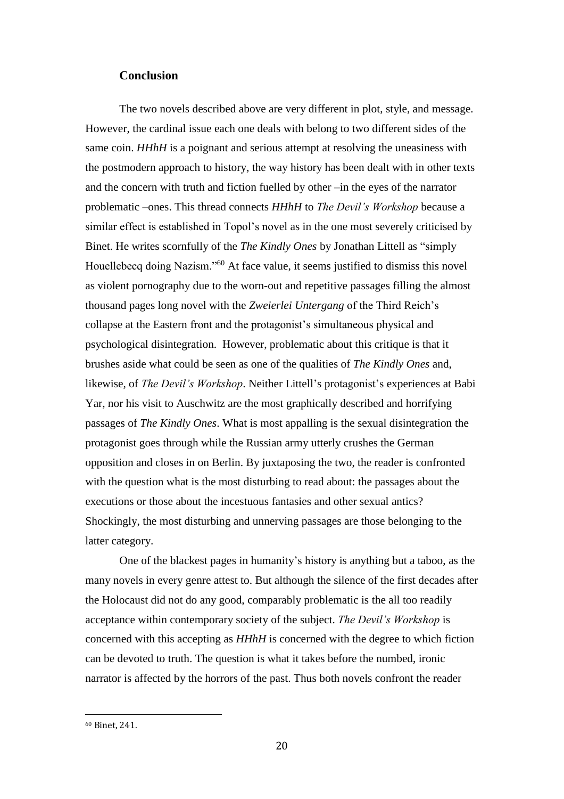## **Conclusion**

The two novels described above are very different in plot, style, and message. However, the cardinal issue each one deals with belong to two different sides of the same coin. *HHhH* is a poignant and serious attempt at resolving the uneasiness with the postmodern approach to history, the way history has been dealt with in other texts and the concern with truth and fiction fuelled by other –in the eyes of the narrator problematic –ones. This thread connects *HHhH* to *The Devil's Workshop* because a similar effect is established in Topol's novel as in the one most severely criticised by Binet. He writes scornfully of the *The Kindly Ones* by Jonathan Littell as "simply Houellebecq doing Nazism."<sup>60</sup> At face value, it seems justified to dismiss this novel as violent pornography due to the worn-out and repetitive passages filling the almost thousand pages long novel with the *Zweierlei Untergang* of the Third Reich's collapse at the Eastern front and the protagonist's simultaneous physical and psychological disintegration. However, problematic about this critique is that it brushes aside what could be seen as one of the qualities of *The Kindly Ones* and, likewise, of *The Devil's Workshop*. Neither Littell's protagonist's experiences at Babi Yar, nor his visit to Auschwitz are the most graphically described and horrifying passages of *The Kindly Ones*. What is most appalling is the sexual disintegration the protagonist goes through while the Russian army utterly crushes the German opposition and closes in on Berlin. By juxtaposing the two, the reader is confronted with the question what is the most disturbing to read about: the passages about the executions or those about the incestuous fantasies and other sexual antics? Shockingly, the most disturbing and unnerving passages are those belonging to the latter category.

One of the blackest pages in humanity's history is anything but a taboo, as the many novels in every genre attest to. But although the silence of the first decades after the Holocaust did not do any good, comparably problematic is the all too readily acceptance within contemporary society of the subject. *The Devil's Workshop* is concerned with this accepting as *HHhH* is concerned with the degree to which fiction can be devoted to truth. The question is what it takes before the numbed, ironic narrator is affected by the horrors of the past. Thus both novels confront the reader

<sup>60</sup> Binet, 241.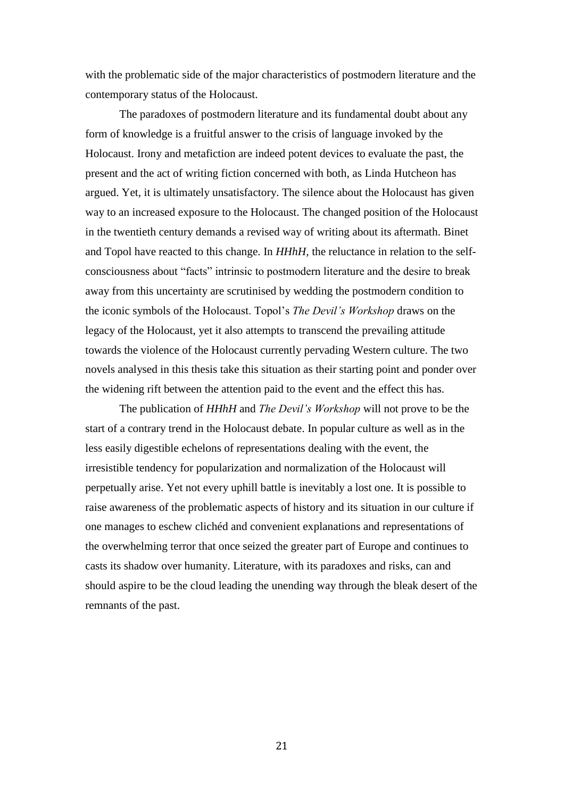with the problematic side of the major characteristics of postmodern literature and the contemporary status of the Holocaust.

The paradoxes of postmodern literature and its fundamental doubt about any form of knowledge is a fruitful answer to the crisis of language invoked by the Holocaust. Irony and metafiction are indeed potent devices to evaluate the past, the present and the act of writing fiction concerned with both, as Linda Hutcheon has argued. Yet, it is ultimately unsatisfactory. The silence about the Holocaust has given way to an increased exposure to the Holocaust. The changed position of the Holocaust in the twentieth century demands a revised way of writing about its aftermath. Binet and Topol have reacted to this change. In *HHhH,* the reluctance in relation to the selfconsciousness about "facts" intrinsic to postmodern literature and the desire to break away from this uncertainty are scrutinised by wedding the postmodern condition to the iconic symbols of the Holocaust. Topol's *The Devil's Workshop* draws on the legacy of the Holocaust, yet it also attempts to transcend the prevailing attitude towards the violence of the Holocaust currently pervading Western culture. The two novels analysed in this thesis take this situation as their starting point and ponder over the widening rift between the attention paid to the event and the effect this has.

The publication of *HHhH* and *The Devil's Workshop* will not prove to be the start of a contrary trend in the Holocaust debate. In popular culture as well as in the less easily digestible echelons of representations dealing with the event, the irresistible tendency for popularization and normalization of the Holocaust will perpetually arise. Yet not every uphill battle is inevitably a lost one. It is possible to raise awareness of the problematic aspects of history and its situation in our culture if one manages to eschew clichéd and convenient explanations and representations of the overwhelming terror that once seized the greater part of Europe and continues to casts its shadow over humanity. Literature, with its paradoxes and risks, can and should aspire to be the cloud leading the unending way through the bleak desert of the remnants of the past.

21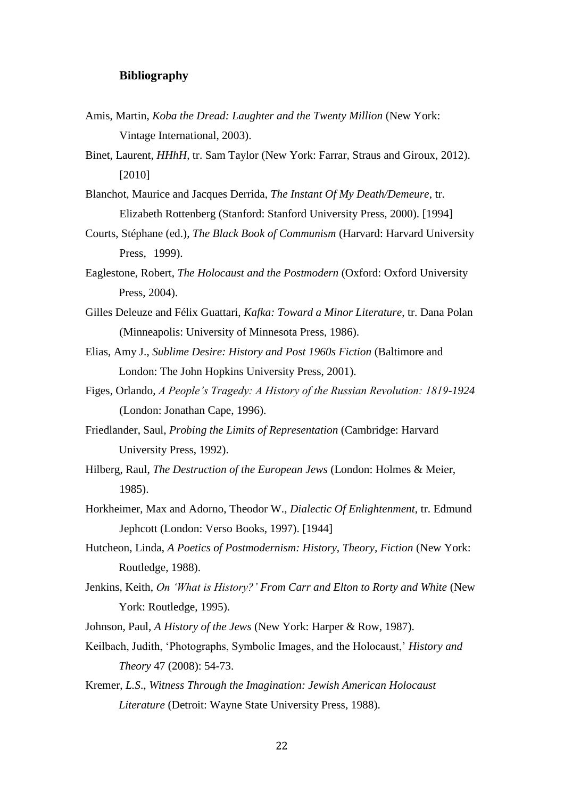# **Bibliography**

- Amis, Martin, *Koba the Dread: Laughter and the Twenty Million* (New York: Vintage International, 2003).
- Binet, Laurent, *HHhH*, tr. Sam Taylor (New York: Farrar, Straus and Giroux, 2012). [2010]
- Blanchot, Maurice and Jacques Derrida, *The Instant Of My Death/Demeure*, tr. Elizabeth Rottenberg (Stanford: Stanford University Press, 2000). [1994]
- Courts, Stéphane (ed.), *The Black Book of Communism* (Harvard: Harvard University Press, 1999).
- Eaglestone, Robert, *The Holocaust and the Postmodern* (Oxford: Oxford University Press, 2004).
- Gilles Deleuze and Félix Guattari, *Kafka: Toward a Minor Literature*, tr. Dana Polan (Minneapolis: University of Minnesota Press, 1986).
- Elias, Amy J., *Sublime Desire: History and Post 1960s Fiction* (Baltimore and London: The John Hopkins University Press, 2001).
- Figes, Orlando, *A People's Tragedy: A History of the Russian Revolution: 1819-1924* (London: Jonathan Cape, 1996).
- Friedlander, Saul, *Probing the Limits of Representation* (Cambridge: Harvard University Press, 1992).
- Hilberg, Raul, *The Destruction of the European Jews* (London: Holmes & Meier, 1985).
- Horkheimer, Max and Adorno, Theodor W., *Dialectic Of Enlightenment*, tr. Edmund Jephcott (London: Verso Books, 1997). [1944]
- Hutcheon, Linda, *A Poetics of Postmodernism: History, Theory, Fiction* (New York: Routledge, 1988).
- Jenkins, Keith, *On 'What is History?' From Carr and Elton to Rorty and White* (New York: Routledge, 1995).
- Johnson, Paul, *A History of the Jews* (New York: Harper & Row, 1987).
- Keilbach, Judith, 'Photographs, Symbolic Images, and the Holocaust,' *History and Theory* 47 (2008): 54-73.
- Kremer, *L.S*., *Witness Through the Imagination: Jewish American Holocaust Literature* (Detroit: Wayne State University Press, 1988).